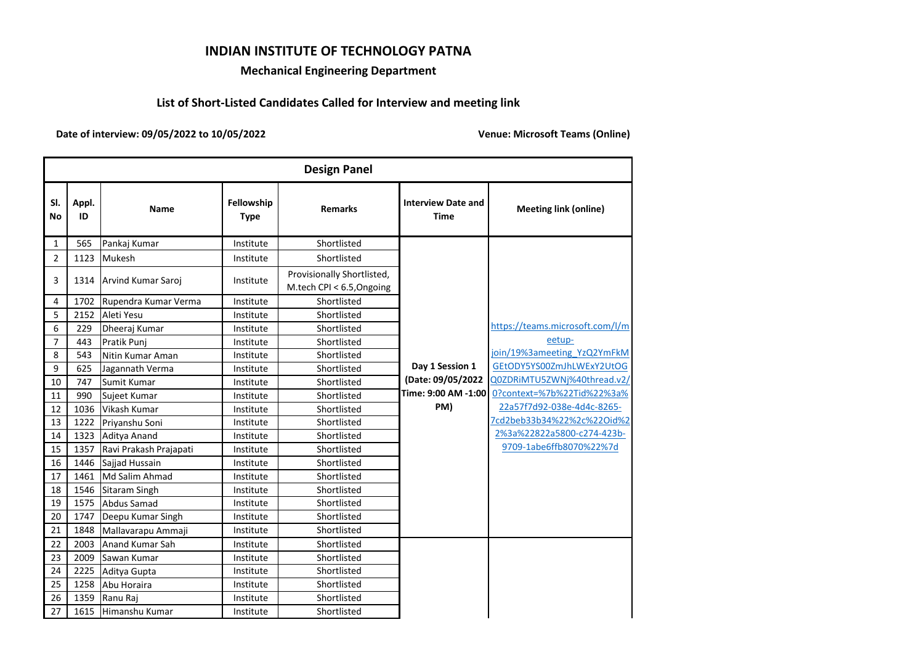## **INDIAN INSTITUTE OF TECHNOLOGY PATNA**

## **Mechanical Engineering Department**

## **List of Short-Listed Candidates Called for Interview and meeting link**

**Date of interview: 09/05/2022 to 10/05/2022**

**Venue: Microsoft Teams (Online)** 

|                | <b>Design Panel</b> |                         |                           |                                                         |                                          |                                 |  |  |
|----------------|---------------------|-------------------------|---------------------------|---------------------------------------------------------|------------------------------------------|---------------------------------|--|--|
| SI.<br>No      | Appl.<br>ID         | Name                    | Fellowship<br><b>Type</b> | <b>Remarks</b>                                          | <b>Interview Date and</b><br><b>Time</b> | <b>Meeting link (online)</b>    |  |  |
| 1              | 565                 | Pankaj Kumar            | Institute                 | Shortlisted                                             |                                          |                                 |  |  |
| 2              | 1123                | Mukesh                  | Institute                 | Shortlisted                                             |                                          |                                 |  |  |
| 3              |                     | 1314 Arvind Kumar Saroj | Institute                 | Provisionally Shortlisted,<br>M.tech CPI < 6.5, Ongoing |                                          |                                 |  |  |
| 4              | 1702                | Rupendra Kumar Verma    | Institute                 | Shortlisted                                             |                                          |                                 |  |  |
| 5              | 2152                | Aleti Yesu              | Institute                 | Shortlisted                                             |                                          |                                 |  |  |
| 6              | 229                 | Dheeraj Kumar           | Institute                 | Shortlisted                                             |                                          | https://teams.microsoft.com/l/m |  |  |
| $\overline{7}$ | 443                 | Pratik Punj             | Institute                 | Shortlisted                                             |                                          | eetup-                          |  |  |
| 8              | 543                 | Nitin Kumar Aman        | Institute                 | Shortlisted                                             |                                          | join/19%3ameeting YzQ2YmFkM     |  |  |
| 9              | 625                 | Jagannath Verma         | Institute                 | Shortlisted                                             | Day 1 Session 1                          | GEtODY5YS00ZmJhLWExY2UtOG       |  |  |
| 10             | 747                 | Sumit Kumar             | Institute                 | Shortlisted                                             | (Date: 09/05/2022                        | Q0ZDRiMTU5ZWNj%40thread.v2/     |  |  |
| 11             | 990                 | Sujeet Kumar            | Institute                 | Shortlisted                                             | Time: 9:00 AM -1:00                      | 0?context=%7b%22Tid%22%3a%      |  |  |
| 12             | 1036                | Vikash Kumar            | Institute                 | Shortlisted                                             | PM)                                      | 22a57f7d92-038e-4d4c-8265-      |  |  |
| 13             | 1222                | Priyanshu Soni          | Institute                 | Shortlisted                                             |                                          | 7cd2beb33b34%22%2c%22Oid%2      |  |  |
| 14             | 1323                | Aditya Anand            | Institute                 | Shortlisted                                             |                                          | 2%3a%22822a5800-c274-423b-      |  |  |
| 15             | 1357                | Ravi Prakash Prajapati  | Institute                 | Shortlisted                                             |                                          | 9709-1abe6ffb8070%22%7d         |  |  |
| 16             | 1446                | Sajjad Hussain          | Institute                 | Shortlisted                                             |                                          |                                 |  |  |
| 17             | 1461                | Md Salim Ahmad          | Institute                 | Shortlisted                                             |                                          |                                 |  |  |
| 18             | 1546                | Sitaram Singh           | Institute                 | Shortlisted                                             |                                          |                                 |  |  |
| 19             | 1575                | <b>Abdus Samad</b>      | Institute                 | Shortlisted                                             |                                          |                                 |  |  |
| 20             | 1747                | Deepu Kumar Singh       | Institute                 | Shortlisted                                             |                                          |                                 |  |  |
| 21             | 1848                | Mallavarapu Ammaji      | Institute                 | Shortlisted                                             |                                          |                                 |  |  |
| 22             | 2003                | Anand Kumar Sah         | Institute                 | Shortlisted                                             |                                          |                                 |  |  |
| 23             | 2009                | Sawan Kumar             | Institute                 | Shortlisted                                             |                                          |                                 |  |  |
| 24             | 2225                | Aditya Gupta            | Institute                 | Shortlisted                                             |                                          |                                 |  |  |
| 25             | 1258                | Abu Horaira             | Institute                 | Shortlisted                                             |                                          |                                 |  |  |
| 26             | 1359                | Ranu Raj                | Institute                 | Shortlisted                                             |                                          |                                 |  |  |
| 27             | 1615                | Himanshu Kumar          | Institute                 | Shortlisted                                             |                                          |                                 |  |  |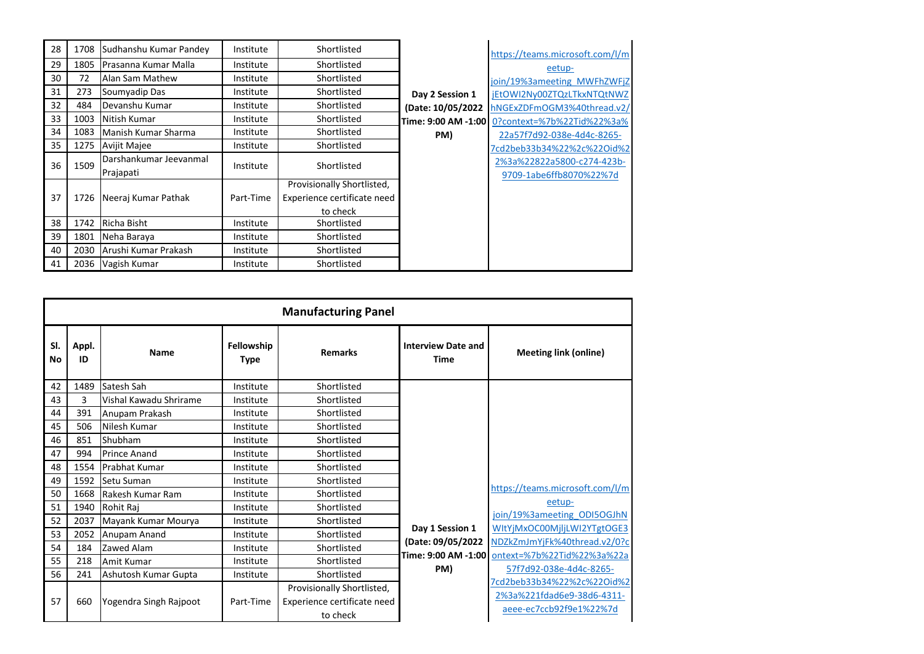| 28 |      | 1708 Sudhanshu Kumar Pandey | Institute | Shortlisted                 |                     | https://teams.microsoft.com/l/m |
|----|------|-----------------------------|-----------|-----------------------------|---------------------|---------------------------------|
| 29 | 1805 | Prasanna Kumar Malla        | Institute | Shortlisted                 |                     | eetup-                          |
| 30 | 72   | Alan Sam Mathew             | Institute | Shortlisted                 |                     | join/19%3ameeting MWFhZWFjZ     |
| 31 | 273  | Soumyadip Das               | Institute | Shortlisted                 | Day 2 Session 1     | jEtOWI2Ny00ZTQzLTkxNTQtNWZ      |
| 32 | 484  | Devanshu Kumar              | Institute | Shortlisted                 | (Date: 10/05/2022   | hNGExZDFmOGM3%40thread.v2/      |
| 33 | 1003 | Nitish Kumar                | Institute | Shortlisted                 | Time: 9:00 AM -1:00 | 0?context=%7b%22Tid%22%3a%      |
| 34 | 1083 | Manish Kumar Sharma         | Institute | Shortlisted                 | PM)                 | 22a57f7d92-038e-4d4c-8265-      |
| 35 | 1275 | <b>Avijit Majee</b>         | Institute | Shortlisted                 |                     | 7cd2beb33b34%22%2c%22Oid%2      |
| 36 | 1509 | Darshankumar Jeevanmal      | Institute | Shortlisted                 |                     | 2%3a%22822a5800-c274-423b-      |
|    |      | Prajapati                   |           |                             |                     | 9709-1abe6ffb8070%22%7d         |
|    |      |                             |           | Provisionally Shortlisted,  |                     |                                 |
| 37 |      | 1726 Neeraj Kumar Pathak    | Part-Time | Experience certificate need |                     |                                 |
|    |      |                             |           | to check                    |                     |                                 |
| 38 | 1742 | Richa Bisht                 | Institute | Shortlisted                 |                     |                                 |
| 39 | 1801 | Neha Baraya                 | Institute | Shortlisted                 |                     |                                 |
| 40 | 2030 | Arushi Kumar Prakash        | Institute | Shortlisted                 |                     |                                 |
| 41 |      | 2036 Vagish Kumar           | Institute | Shortlisted                 |                     |                                 |

|           | <b>Manufacturing Panel</b> |                        |                           |                             |                                          |                                 |  |  |
|-----------|----------------------------|------------------------|---------------------------|-----------------------------|------------------------------------------|---------------------------------|--|--|
| SI.<br>No | Appl.<br>ID                | Name                   | Fellowship<br><b>Type</b> | <b>Remarks</b>              | <b>Interview Date and</b><br><b>Time</b> | <b>Meeting link (online)</b>    |  |  |
| 42        | 1489                       | Satesh Sah             | Institute                 | Shortlisted                 |                                          |                                 |  |  |
| 43        | 3                          | Vishal Kawadu Shrirame | Institute                 | Shortlisted                 |                                          |                                 |  |  |
| 44        | 391                        | Anupam Prakash         | Institute                 | Shortlisted                 |                                          |                                 |  |  |
| 45        | 506                        | Nilesh Kumar           | Institute                 | Shortlisted                 |                                          |                                 |  |  |
| 46        | 851                        | Shubham                | Institute                 | Shortlisted                 |                                          |                                 |  |  |
| 47        | 994                        | <b>Prince Anand</b>    | Institute                 | Shortlisted                 |                                          |                                 |  |  |
| 48        | 1554                       | <b>Prabhat Kumar</b>   | Institute                 | Shortlisted                 |                                          |                                 |  |  |
| 49        | 1592                       | Setu Suman             | Institute                 | Shortlisted                 |                                          |                                 |  |  |
| 50        | 1668                       | Rakesh Kumar Ram       | Institute                 | Shortlisted                 |                                          | https://teams.microsoft.com/l/m |  |  |
| 51        | 1940                       | Rohit Raj              | Institute                 | Shortlisted                 |                                          | eetup-                          |  |  |
| 52        | 2037                       | Mayank Kumar Mourya    | Institute                 | Shortlisted                 |                                          | join/19%3ameeting ODI5OGJhN     |  |  |
| 53        | 2052                       | Anupam Anand           | Institute                 | Shortlisted                 | Day 1 Session 1                          | WItYjMxOC00MjljLWI2YTgtOGE3     |  |  |
| 54        | 184                        | Zawed Alam             | Institute                 | Shortlisted                 | (Date: 09/05/2022                        | NDZkZmJmYjFk%40thread.v2/0?c    |  |  |
| 55        | 218                        | Amit Kumar             | Institute                 | Shortlisted                 | Time: 9:00 AM -1:00                      | ontext=%7b%22Tid%22%3a%22a      |  |  |
| 56        | 241                        | Ashutosh Kumar Gupta   | Institute                 | Shortlisted                 | PM)                                      | 57f7d92-038e-4d4c-8265-         |  |  |
|           |                            |                        |                           | Provisionally Shortlisted,  |                                          | 7cd2beb33b34%22%2c%22Oid%2      |  |  |
| 57        | 660                        | Yogendra Singh Rajpoot | Part-Time                 | Experience certificate need |                                          | 2%3a%221fdad6e9-38d6-4311-      |  |  |
|           |                            |                        |                           | to check                    |                                          | aeee-ec7ccb92f9e1%22%7d         |  |  |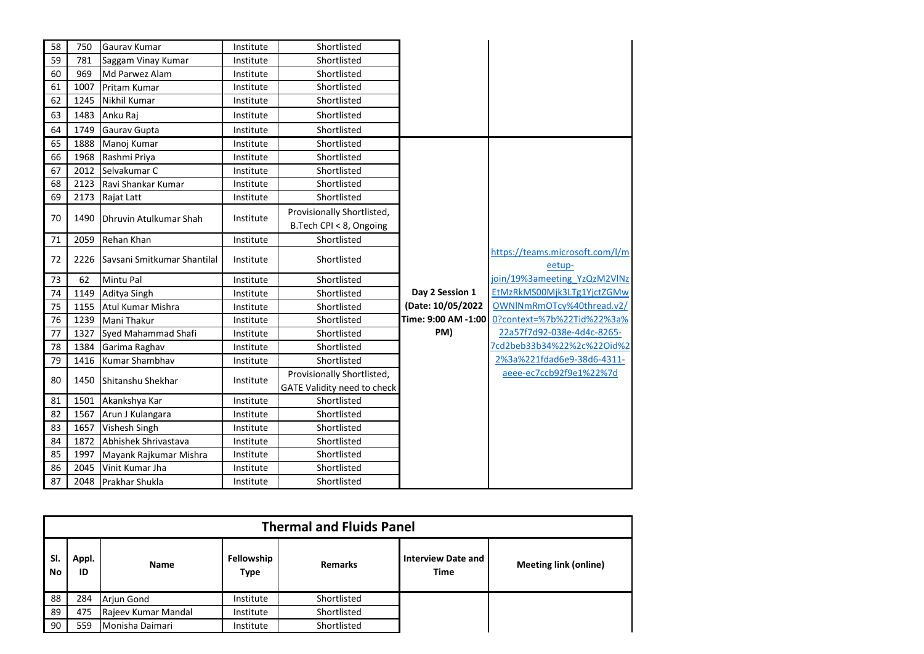| 58 | 750  | Gaurav Kumar                     | Institute | Shortlisted                 |                     |                                 |
|----|------|----------------------------------|-----------|-----------------------------|---------------------|---------------------------------|
| 59 | 781  | Saggam Vinay Kumar               | Institute | Shortlisted                 |                     |                                 |
| 60 | 969  | Md Parwez Alam                   | Institute | Shortlisted                 |                     |                                 |
| 61 | 1007 | Pritam Kumar                     | Institute | Shortlisted                 |                     |                                 |
| 62 | 1245 | Nikhil Kumar                     | Institute | Shortlisted                 |                     |                                 |
| 63 | 1483 | Anku Raj                         | Institute | Shortlisted                 |                     |                                 |
| 64 | 1749 | Gaurav Gupta                     | Institute | Shortlisted                 |                     |                                 |
| 65 | 1888 | Manoj Kumar                      | Institute | Shortlisted                 |                     |                                 |
| 66 | 1968 | Rashmi Priya                     | Institute | Shortlisted                 |                     |                                 |
| 67 | 2012 | Selvakumar C                     | Institute | Shortlisted                 |                     |                                 |
| 68 | 2123 | Ravi Shankar Kumar               | Institute | Shortlisted                 |                     |                                 |
| 69 | 2173 | Rajat Latt                       | Institute | Shortlisted                 |                     |                                 |
|    |      |                                  |           | Provisionally Shortlisted,  |                     |                                 |
| 70 | 1490 | Dhruvin Atulkumar Shah           | Institute | B.Tech CPI < 8, Ongoing     |                     |                                 |
| 71 | 2059 | Rehan Khan                       | Institute | Shortlisted                 |                     |                                 |
| 72 |      | 2226 Saysani Smitkumar Shantilal | Institute | Shortlisted                 |                     | https://teams.microsoft.com/l/m |
|    |      |                                  |           |                             |                     | eetup-                          |
| 73 | 62   | Mintu Pal                        | Institute | Shortlisted                 |                     | join/19%3ameeting YzQzM2VlNz    |
| 74 | 1149 | Aditya Singh                     | Institute | Shortlisted                 | Day 2 Session 1     | EtMzRkMS00Mjk3LTg1YjctZGMw      |
| 75 | 1155 | Atul Kumar Mishra                | Institute | Shortlisted                 | (Date: 10/05/2022   | OWNINmRmOTcy%40thread.v2/       |
| 76 | 1239 | Mani Thakur                      | Institute | Shortlisted                 | Time: 9:00 AM -1:00 | 0?context=%7b%22Tid%22%3a%      |
| 77 | 1327 | Syed Mahammad Shafi              | Institute | Shortlisted                 | PM)                 | 22a57f7d92-038e-4d4c-8265-      |
| 78 | 1384 | Garima Raghav                    | Institute | Shortlisted                 |                     | 7cd2beb33b34%22%2c%22Oid%2      |
| 79 | 1416 | Kumar Shambhav                   | Institute | Shortlisted                 |                     | 2%3a%221fdad6e9-38d6-4311-      |
| 80 | 1450 | Shitanshu Shekhar                | Institute | Provisionally Shortlisted,  |                     | aeee-ec7ccb92f9e1%22%7d         |
|    |      |                                  |           | GATE Validity need to check |                     |                                 |
| 81 | 1501 | Akankshya Kar                    | Institute | Shortlisted                 |                     |                                 |
| 82 | 1567 | Arun J Kulangara                 | Institute | Shortlisted                 |                     |                                 |
| 83 | 1657 | Vishesh Singh                    | Institute | Shortlisted                 |                     |                                 |
| 84 | 1872 | Abhishek Shrivastava             | Institute | Shortlisted                 |                     |                                 |
| 85 | 1997 | Mayank Rajkumar Mishra           | Institute | Shortlisted                 |                     |                                 |
| 86 | 2045 | Vinit Kumar Jha                  | Institute | Shortlisted                 |                     |                                 |
| 87 | 2048 | <b>Prakhar Shukla</b>            | Institute | Shortlisted                 |                     |                                 |

|           | <b>Thermal and Fluids Panel</b> |                     |                           |                |                                          |                              |  |  |
|-----------|---------------------------------|---------------------|---------------------------|----------------|------------------------------------------|------------------------------|--|--|
| SI.<br>No | Appl.<br>ID                     | <b>Name</b>         | Fellowship<br><b>Type</b> | <b>Remarks</b> | <b>Interview Date and</b><br><b>Time</b> | <b>Meeting link (online)</b> |  |  |
| 88        | 284                             | Arjun Gond          | Institute                 | Shortlisted    |                                          |                              |  |  |
| 89        | 475                             | Rajeev Kumar Mandal | Institute                 | Shortlisted    |                                          |                              |  |  |
| 90        | 559                             | Monisha Daimari     | Institute                 | Shortlisted    |                                          |                              |  |  |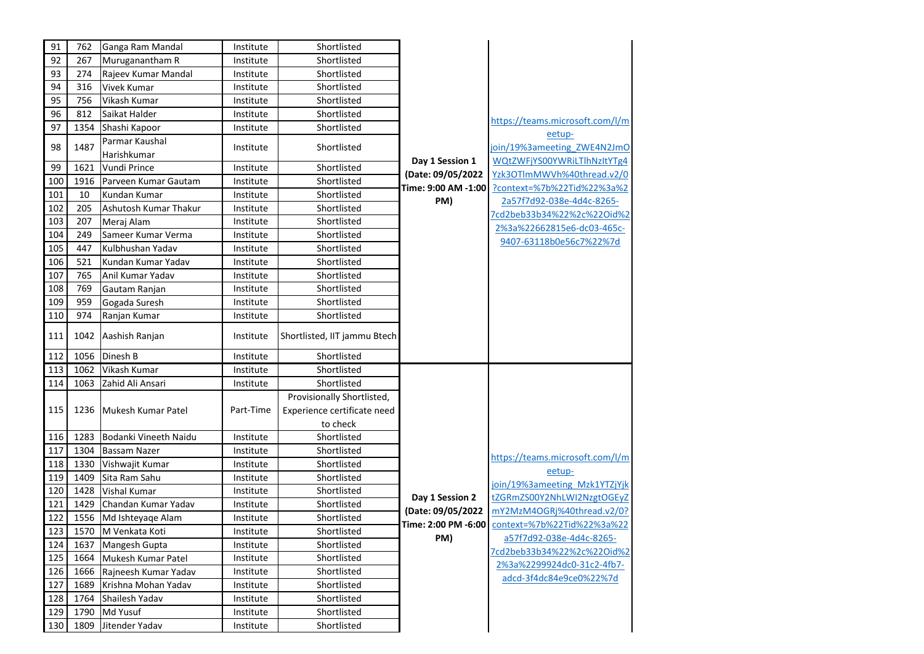| 91  | 762  | Ganga Ram Mandal              | Institute | Shortlisted                                                           |                                      |                                                            |
|-----|------|-------------------------------|-----------|-----------------------------------------------------------------------|--------------------------------------|------------------------------------------------------------|
| 92  | 267  | Muruganantham R               | Institute | Shortlisted                                                           |                                      |                                                            |
| 93  | 274  | Rajeev Kumar Mandal           | Institute | Shortlisted                                                           |                                      |                                                            |
| 94  | 316  | Vivek Kumar                   | Institute | Shortlisted                                                           |                                      |                                                            |
| 95  | 756  | Vikash Kumar                  | Institute | Shortlisted                                                           |                                      |                                                            |
| 96  | 812  | Saikat Halder                 | Institute | Shortlisted                                                           |                                      | https://teams.microsoft.com/l/m                            |
| 97  | 1354 | Shashi Kapoor                 | Institute | Shortlisted                                                           |                                      | eetup-                                                     |
| 98  | 1487 | Parmar Kaushal<br>Harishkumar | Institute | Shortlisted                                                           |                                      | join/19%3ameeting ZWE4N2JmO<br>WQtZWFjYS00YWRiLTlhNzltYTg4 |
| 99  | 1621 | Vundi Prince                  | Institute | Shortlisted                                                           | Day 1 Session 1<br>(Date: 09/05/2022 | Yzk3OTlmMWVh%40thread.v2/0                                 |
| 100 | 1916 | Parveen Kumar Gautam          | Institute | Shortlisted                                                           | Time: 9:00 AM -1:00                  | ?context=%7b%22Tid%22%3a%2                                 |
| 101 | 10   | Kundan Kumar                  | Institute | Shortlisted                                                           | PM)                                  | 2a57f7d92-038e-4d4c-8265-                                  |
| 102 | 205  | Ashutosh Kumar Thakur         | Institute | Shortlisted                                                           |                                      | 7cd2beb33b34%22%2c%22Oid%2                                 |
| 103 | 207  | Meraj Alam                    | Institute | Shortlisted                                                           |                                      | 2%3a%22662815e6-dc03-465c-                                 |
| 104 | 249  | Sameer Kumar Verma            | Institute | Shortlisted                                                           |                                      | 9407-63118b0e56c7%22%7d                                    |
| 105 | 447  | Kulbhushan Yadav              | Institute | Shortlisted                                                           |                                      |                                                            |
| 106 | 521  | Kundan Kumar Yadav            | Institute | Shortlisted                                                           |                                      |                                                            |
| 107 | 765  | Anil Kumar Yadav              | Institute | Shortlisted                                                           |                                      |                                                            |
| 108 | 769  | Gautam Ranjan                 | Institute | Shortlisted                                                           |                                      |                                                            |
| 109 | 959  | Gogada Suresh                 | Institute | Shortlisted                                                           |                                      |                                                            |
| 110 | 974  | Ranjan Kumar                  | Institute | Shortlisted                                                           |                                      |                                                            |
| 111 | 1042 | Aashish Ranjan                | Institute | Shortlisted, IIT jammu Btech                                          |                                      |                                                            |
| 112 | 1056 | Dinesh B                      | Institute | Shortlisted                                                           |                                      |                                                            |
| 113 | 1062 | Vikash Kumar                  | Institute | Shortlisted                                                           |                                      |                                                            |
| 114 | 1063 | Zahid Ali Ansari              | Institute | Shortlisted                                                           |                                      |                                                            |
| 115 | 1236 | Mukesh Kumar Patel            | Part-Time | Provisionally Shortlisted,<br>Experience certificate need<br>to check |                                      |                                                            |
| 116 | 1283 | Bodanki Vineeth Naidu         | Institute | Shortlisted                                                           |                                      |                                                            |
| 117 | 1304 | <b>Bassam Nazer</b>           | Institute | Shortlisted                                                           |                                      | https://teams.microsoft.com/l/m                            |
| 118 | 1330 | Vishwajit Kumar               | Institute | Shortlisted                                                           |                                      | eetup-                                                     |
| 119 | 1409 | Sita Ram Sahu                 | Institute | Shortlisted                                                           |                                      | join/19%3ameeting Mzk1YTZjYjk                              |
| 120 | 1428 | <b>Vishal Kumar</b>           | Institute | Shortlisted                                                           | Day 1 Session 2                      | tZGRmZS00Y2NhLWI2NzgtOGEyZ                                 |
| 121 | 1429 | Chandan Kumar Yadav           | Institute | Shortlisted                                                           | (Date: 09/05/2022                    | mY2MzM4OGRj%40thread.v2/0?                                 |
| 122 |      | 1556 Md Ishteyage Alam        | Institute | Shortlisted                                                           |                                      | context=%7b%22Tid%22%3a%22                                 |
| 123 |      | 1570 M Venkata Koti           | Institute | Shortlisted                                                           | Time: 2:00 PM -6:00<br>PM)           | a57f7d92-038e-4d4c-8265-                                   |
| 124 |      | 1637 Mangesh Gupta            | Institute | Shortlisted                                                           |                                      | 7cd2beb33b34%22%2c%22Oid%2                                 |
| 125 | 1664 | Mukesh Kumar Patel            | Institute | Shortlisted                                                           |                                      | 2%3a%2299924dc0-31c2-4fb7-                                 |
| 126 | 1666 | Rajneesh Kumar Yadav          | Institute | Shortlisted                                                           |                                      | adcd-3f4dc84e9ce0%22%7d                                    |
| 127 | 1689 | Krishna Mohan Yadav           | Institute | Shortlisted                                                           |                                      |                                                            |
| 128 | 1764 | Shailesh Yadav                | Institute | Shortlisted                                                           |                                      |                                                            |
| 129 | 1790 | Md Yusuf                      | Institute | Shortlisted                                                           |                                      |                                                            |
| 130 | 1809 | Jitender Yadav                | Institute | Shortlisted                                                           |                                      |                                                            |